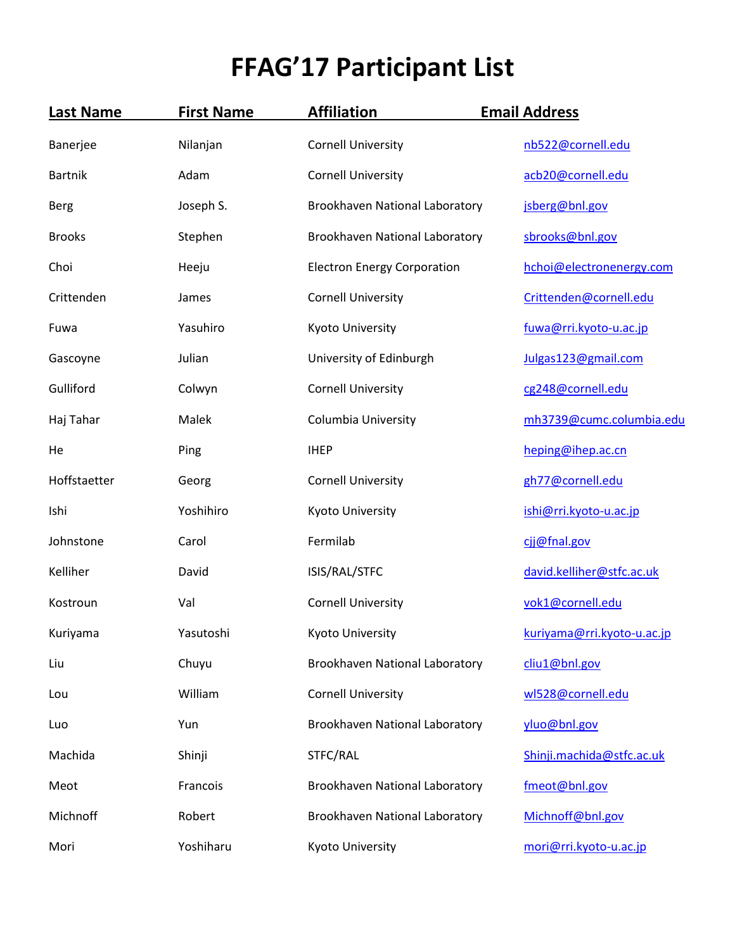## **FFAG'17 Participant List**

| <b>Last Name</b> | <b>First Name</b> | <b>Affiliation</b>                    | <b>Email Address</b>       |
|------------------|-------------------|---------------------------------------|----------------------------|
| Banerjee         | Nilanjan          | <b>Cornell University</b>             | nb522@cornell.edu          |
| <b>Bartnik</b>   | Adam              | <b>Cornell University</b>             | acb20@cornell.edu          |
| <b>Berg</b>      | Joseph S.         | Brookhaven National Laboratory        | jsberg@bnl.gov             |
| <b>Brooks</b>    | Stephen           | Brookhaven National Laboratory        | sbrooks@bnl.gov            |
| Choi             | Heeju             | <b>Electron Energy Corporation</b>    | hchoi@electronenergy.com   |
| Crittenden       | James             | <b>Cornell University</b>             | Crittenden@cornell.edu     |
| Fuwa             | Yasuhiro          | Kyoto University                      | fuwa@rri.kyoto-u.ac.jp     |
| Gascoyne         | Julian            | University of Edinburgh               | Julgas123@gmail.com        |
| Gulliford        | Colwyn            | <b>Cornell University</b>             | cg248@cornell.edu          |
| Haj Tahar        | Malek             | <b>Columbia University</b>            | mh3739@cumc.columbia.edu   |
| He               | Ping              | <b>IHEP</b>                           | heping@ihep.ac.cn          |
| Hoffstaetter     | Georg             | <b>Cornell University</b>             | gh77@cornell.edu           |
| Ishi             | Yoshihiro         | Kyoto University                      | ishi@rri.kyoto-u.ac.jp     |
| Johnstone        | Carol             | Fermilab                              | cjj@fnal.gov               |
| Kelliher         | David             | ISIS/RAL/STFC                         | david.kelliher@stfc.ac.uk  |
| Kostroun         | Val               | <b>Cornell University</b>             | vok1@cornell.edu           |
| Kuriyama         | Yasutoshi         | Kyoto University                      | kuriyama@rri.kyoto-u.ac.jp |
| Liu              | Chuyu             | Brookhaven National Laboratory        | cliu1@bnl.gov              |
| Lou              | William           | <b>Cornell University</b>             | wl528@cornell.edu          |
| Luo              | Yun               | Brookhaven National Laboratory        | yluo@bnl.gov               |
| Machida          | Shinji            | STFC/RAL                              | Shinji.machida@stfc.ac.uk  |
| Meot             | Francois          | <b>Brookhaven National Laboratory</b> | fmeot@bnl.gov              |
| Michnoff         | Robert            | Brookhaven National Laboratory        | Michnoff@bnl.gov           |
| Mori             | Yoshiharu         | Kyoto University                      | mori@rri.kyoto-u.ac.jp     |